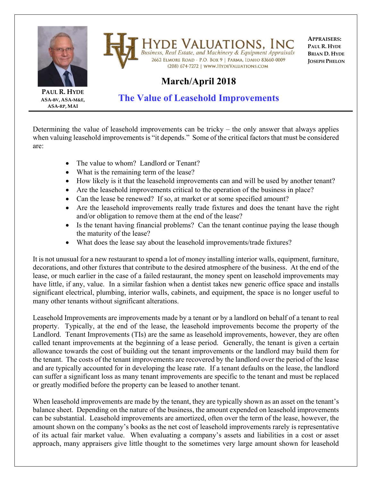

Iyde Valuations, Inc **Business, Real Estate, and Machinery & Equipment Appraisals** 2662 ELMORE ROAD - P.O. BOX 9 | PARMA, IDAHO 83660-0009 (208) 674-7272 | WWW.HYDEVALUATIONS.COM

**APPRAISERS: PAUL R. HYDE BRIAN D. HYDE JOSEPH PHELON**

## **March/April 2018**

**PAUL R. HYDE ASA‐BV, ASA‐M&E, ASA‐RP, MAI**

**The Value of Leasehold Improvements** 

Determining the value of leasehold improvements can be tricky – the only answer that always applies when valuing leasehold improvements is "it depends." Some of the critical factors that must be considered are:

- The value to whom? Landlord or Tenant?
- What is the remaining term of the lease?
- How likely is it that the leasehold improvements can and will be used by another tenant?
- Are the leasehold improvements critical to the operation of the business in place?
- Can the lease be renewed? If so, at market or at some specified amount?
- Are the leasehold improvements really trade fixtures and does the tenant have the right and/or obligation to remove them at the end of the lease?
- Is the tenant having financial problems? Can the tenant continue paying the lease though the maturity of the lease?
- What does the lease say about the leasehold improvements/trade fixtures?

It is not unusual for a new restaurant to spend a lot of money installing interior walls, equipment, furniture, decorations, and other fixtures that contribute to the desired atmosphere of the business. At the end of the lease, or much earlier in the case of a failed restaurant, the money spent on leasehold improvements may have little, if any, value. In a similar fashion when a dentist takes new generic office space and installs significant electrical, plumbing, interior walls, cabinets, and equipment, the space is no longer useful to many other tenants without significant alterations.

Leasehold Improvements are improvements made by a tenant or by a landlord on behalf of a tenant to real property. Typically, at the end of the lease, the leasehold improvements become the property of the Landlord. Tenant Improvements (TIs) are the same as leasehold improvements, however, they are often called tenant improvements at the beginning of a lease period. Generally, the tenant is given a certain allowance towards the cost of building out the tenant improvements or the landlord may build them for the tenant. The costs of the tenant improvements are recovered by the landlord over the period of the lease and are typically accounted for in developing the lease rate. If a tenant defaults on the lease, the landlord can suffer a significant loss as many tenant improvements are specific to the tenant and must be replaced or greatly modified before the property can be leased to another tenant.

When leasehold improvements are made by the tenant, they are typically shown as an asset on the tenant's balance sheet. Depending on the nature of the business, the amount expended on leasehold improvements can be substantial. Leasehold improvements are amortized, often over the term of the lease, however, the amount shown on the company's books as the net cost of leasehold improvements rarely is representative of its actual fair market value. When evaluating a company's assets and liabilities in a cost or asset approach, many appraisers give little thought to the sometimes very large amount shown for leasehold